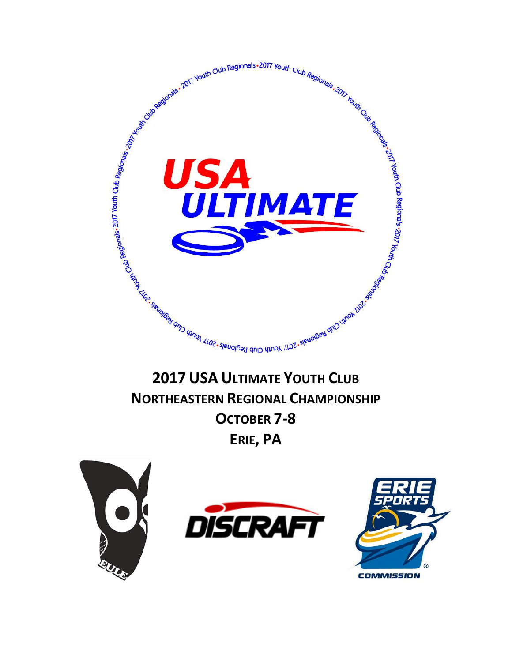

# **NORTHEASTERN REGIONAL CHAMPIONSHIP OCTOBER 7-8 ERIE, PA**

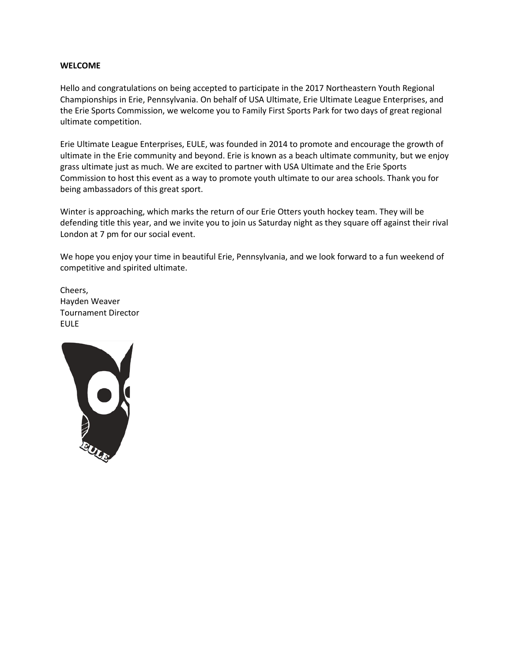#### **WELCOME**

Hello and congratulations on being accepted to participate in the 2017 Northeastern Youth Regional Championships in Erie, Pennsylvania. On behalf of USA Ultimate, Erie Ultimate League Enterprises, and the Erie Sports Commission, we welcome you to Family First Sports Park for two days of great regional ultimate competition.

Erie Ultimate League Enterprises, EULE, was founded in 2014 to promote and encourage the growth of ultimate in the Erie community and beyond. Erie is known as a beach ultimate community, but we enjoy grass ultimate just as much. We are excited to partner with USA Ultimate and the Erie Sports Commission to host this event as a way to promote youth ultimate to our area schools. Thank you for being ambassadors of this great sport.

Winter is approaching, which marks the return of our Erie Otters youth hockey team. They will be defending title this year, and we invite you to join us Saturday night as they square off against their rival London at 7 pm for our social event.

We hope you enjoy your time in beautiful Erie, Pennsylvania, and we look forward to a fun weekend of competitive and spirited ultimate.

Cheers, Hayden Weaver Tournament Director EULE

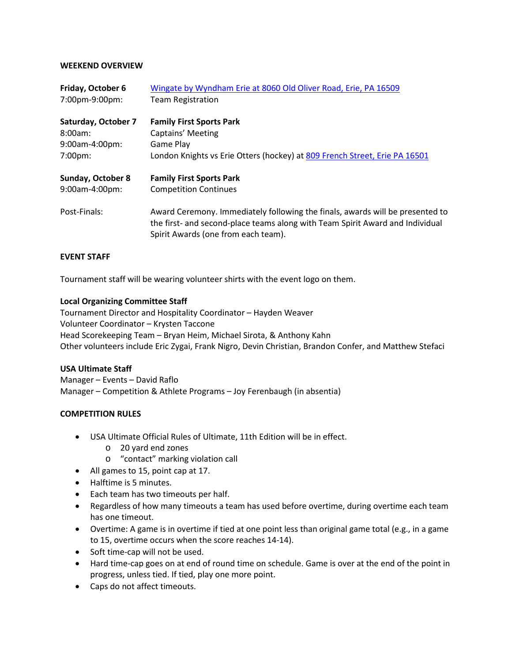#### **WEEKEND OVERVIEW**

| Friday, October 6<br>7:00pm-9:00pm: | Wingate by Wyndham Erie at 8060 Old Oliver Road, Erie, PA 16509<br><b>Team Registration</b>                                                                                                           |  |  |
|-------------------------------------|-------------------------------------------------------------------------------------------------------------------------------------------------------------------------------------------------------|--|--|
|                                     |                                                                                                                                                                                                       |  |  |
| Saturday, October 7                 | <b>Family First Sports Park</b>                                                                                                                                                                       |  |  |
| $8:00am$ :                          | Captains' Meeting                                                                                                                                                                                     |  |  |
| 9:00am-4:00pm:                      | Game Play                                                                                                                                                                                             |  |  |
| $7:00 \text{pm}$                    | London Knights vs Erie Otters (hockey) at 809 French Street, Erie PA 16501                                                                                                                            |  |  |
| <b>Sunday, October 8</b>            | <b>Family First Sports Park</b>                                                                                                                                                                       |  |  |
| 9:00am-4:00pm:                      | <b>Competition Continues</b>                                                                                                                                                                          |  |  |
| Post-Finals:                        | Award Ceremony. Immediately following the finals, awards will be presented to<br>the first- and second-place teams along with Team Spirit Award and Individual<br>Spirit Awards (one from each team). |  |  |

## **EVENT STAFF**

Tournament staff will be wearing volunteer shirts with the event logo on them.

#### **Local Organizing Committee Staff**

Tournament Director and Hospitality Coordinator – Hayden Weaver Volunteer Coordinator – Krysten Taccone Head Scorekeeping Team – Bryan Heim, Michael Sirota, & Anthony Kahn Other volunteers include Eric Zygai, Frank Nigro, Devin Christian, Brandon Confer, and Matthew Stefaci

## **USA Ultimate Staff**

Manager – Events – David Raflo Manager – Competition & Athlete Programs – Joy Ferenbaugh (in absentia)

## **COMPETITION RULES**

- USA Ultimate Official Rules of Ultimate, 11th Edition will be in effect.
	- o 20 yard end zones
	- o "contact" marking violation call
- All games to 15, point cap at 17.
- Halftime is 5 minutes.
- Each team has two timeouts per half.
- Regardless of how many timeouts a team has used before overtime, during overtime each team has one timeout.
- Overtime: A game is in overtime if tied at one point less than original game total (e.g., in a game to 15, overtime occurs when the score reaches 14-14).
- Soft time-cap will not be used.
- Hard time-cap goes on at end of round time on schedule. Game is over at the end of the point in progress, unless tied. If tied, play one more point.
- Caps do not affect timeouts.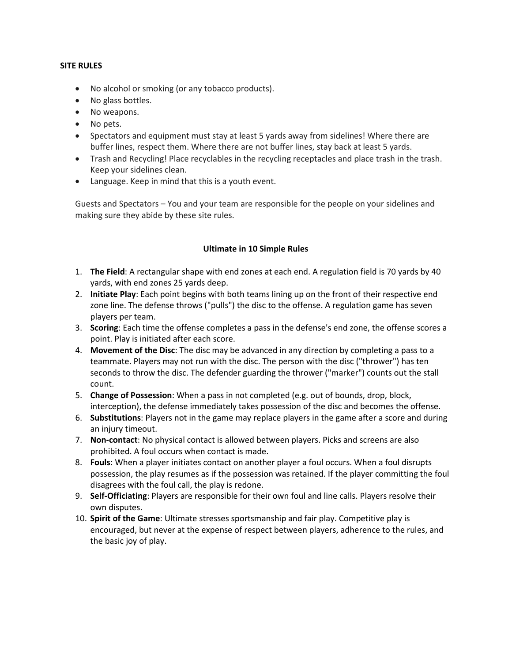#### **SITE RULES**

- No alcohol or smoking (or any tobacco products).
- No glass bottles.
- No weapons.
- No pets.
- Spectators and equipment must stay at least 5 yards away from sidelines! Where there are buffer lines, respect them. Where there are not buffer lines, stay back at least 5 yards.
- Trash and Recycling! Place recyclables in the recycling receptacles and place trash in the trash. Keep your sidelines clean.
- Language. Keep in mind that this is a youth event.

Guests and Spectators – You and your team are responsible for the people on your sidelines and making sure they abide by these site rules.

## **Ultimate in 10 Simple Rules**

- 1. **The Field**: A rectangular shape with end zones at each end. A regulation field is 70 yards by 40 yards, with end zones 25 yards deep.
- 2. **Initiate Play**: Each point begins with both teams lining up on the front of their respective end zone line. The defense throws ("pulls") the disc to the offense. A regulation game has seven players per team.
- 3. **Scoring**: Each time the offense completes a pass in the defense's end zone, the offense scores a point. Play is initiated after each score.
- 4. **Movement of the Disc**: The disc may be advanced in any direction by completing a pass to a teammate. Players may not run with the disc. The person with the disc ("thrower") has ten seconds to throw the disc. The defender guarding the thrower ("marker") counts out the stall count.
- 5. **Change of Possession**: When a pass in not completed (e.g. out of bounds, drop, block, interception), the defense immediately takes possession of the disc and becomes the offense.
- 6. **Substitutions**: Players not in the game may replace players in the game after a score and during an injury timeout.
- 7. **Non-contact**: No physical contact is allowed between players. Picks and screens are also prohibited. A foul occurs when contact is made.
- 8. **Fouls**: When a player initiates contact on another player a foul occurs. When a foul disrupts possession, the play resumes as if the possession was retained. If the player committing the foul disagrees with the foul call, the play is redone.
- 9. **Self-Officiating**: Players are responsible for their own foul and line calls. Players resolve their own disputes.
- 10. **Spirit of the Game**: Ultimate stresses sportsmanship and fair play. Competitive play is encouraged, but never at the expense of respect between players, adherence to the rules, and the basic joy of play.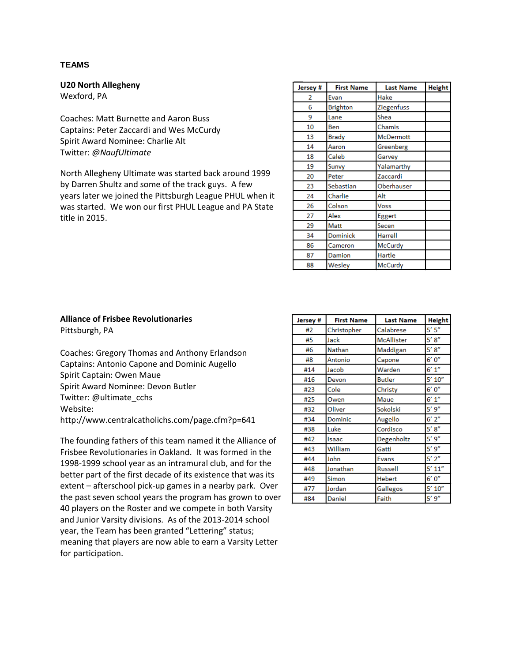#### **TEAMS**

**U20 North Allegheny** 

Wexford, PA

Coaches: Matt Burnette and Aaron Buss Captains: Peter Zaccardi and Wes McCurdy Spirit Award Nominee: Charlie Alt Twitter: *@NaufUltimate*

North Allegheny Ultimate was started back around 1999 by Darren Shultz and some of the track guys. A few years later we joined the Pittsburgh League PHUL when it was started. We won our first PHUL League and PA State title in 2015.

| Jersey # | <b>First Name</b> | <b>Last Name</b> | <b>Height</b> |
|----------|-------------------|------------------|---------------|
| 2        | Evan              | Hake             |               |
| 6        | <b>Brighton</b>   | Ziegenfuss       |               |
| 9        | Lane              | Shea             |               |
| 10       | Ben               | Chamis           |               |
| 13       | Brady             | <b>McDermott</b> |               |
| 14       | Aaron             | Greenberg        |               |
| 18       | Caleb             | Garvey           |               |
| 19       | Sunvy             | Yalamarthy       |               |
| 20       | Peter             | Zaccardi         |               |
| 23       | Sebastian         | Oberhauser       |               |
| 24       | Charlie           | Alt              |               |
| 26       | Colson            | Voss             |               |
| 27       | Alex              | Eggert           |               |
| 29       | Matt              | Secen            |               |
| 34       | Dominick          | Harrell          |               |
| 86       | Cameron           | McCurdy          |               |
| 87       | Damion            | Hartle           |               |
| 88       | Wesley            | McCurdy          |               |

## **Alliance of Frisbee Revolutionaries**

Pittsburgh, PA

Coaches: Gregory Thomas and Anthony Erlandson Captains: Antonio Capone and Dominic Augello Spirit Captain: Owen Maue Spirit Award Nominee: Devon Butler Twitter: @ultimate\_cchs Website: http://www.centralcatholichs.com/page.cfm?p=641

The founding fathers of this team named it the Alliance of Frisbee Revolutionaries in Oakland. It was formed in the 1998-1999 school year as an intramural club, and for the better part of the first decade of its existence that was its extent – afterschool pick-up games in a nearby park. Over the past seven school years the program has grown to over 40 players on the Roster and we compete in both Varsity and Junior Varsity divisions. As of the 2013-2014 school year, the Team has been granted "Lettering" status; meaning that players are now able to earn a Varsity Letter for participation.

| Jersey # | <b>First Name</b> | <b>Last Name</b>  | <b>Height</b> |
|----------|-------------------|-------------------|---------------|
| #2       | Christopher       | Calabrese         | 5' 5''        |
| #5       | Jack              | <b>McAllister</b> | 5' 8''        |
| #6       | <b>Nathan</b>     | Maddigan          | 5' 8''        |
| #8       | Antonio           | Capone            | 6'0''         |
| #14      | Jacob             | Warden            | 6' 1''        |
| #16      | Devon             | <b>Butler</b>     | $5'$ $10''$   |
| #23      | Cole              | Christy           | 6'0''         |
| #25      | Owen              | Maue              | 6' 1''        |
| #32      | Oliver            | Sokolski          | 5'9''         |
| #34      | Dominic           | Augello           | $6'$ $2''$    |
| #38      | Luke              | Cordisco          | 5' 8''        |
| #42      | Isaac             | Degenholtz        | 5'9''         |
| #43      | William           | Gatti             | 5'9''         |
| #44      | John              | <b>Evans</b>      | $5'$ $2''$    |
| #48      | Jonathan          | <b>Russell</b>    | 5' 11''       |
| #49      | Simon             | <b>Hebert</b>     | 6'0''         |
| #77      | Jordan            | Gallegos          | 5' 10''       |
| #84      | Daniel            | Faith             | 5'9''         |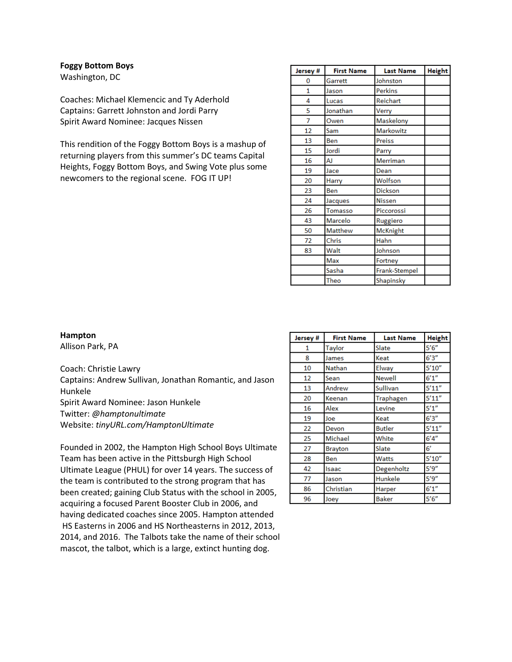**Foggy Bottom Boys** 

Washington, DC

Coaches: Michael Klemencic and Ty Aderhold Captains: Garrett Johnston and Jordi Parry Spirit Award Nominee: Jacques Nissen

This rendition of the Foggy Bottom Boys is a mashup of returning players from this summer's DC teams Capital Heights, Foggy Bottom Boys, and Swing Vote plus some newcomers to the regional scene. FOG IT UP!

| Jersey #     | <b>First Name</b> | <b>Last Name</b> | <b>Height</b> |
|--------------|-------------------|------------------|---------------|
| 0            | Garrett           | Johnston         |               |
| $\mathbf{1}$ | Jason             | <b>Perkins</b>   |               |
| 4            | Lucas             | Reichart         |               |
| 5            | Jonathan          | Verry            |               |
| 7            | Owen              | Maskelony        |               |
| 12           | Sam               | <b>Markowitz</b> |               |
| 13           | Ben               | Preiss           |               |
| 15           | Jordi             | Parry            |               |
| 16           | AJ                | Merriman         |               |
| 19           | Jace              | Dean             |               |
| 20           | Harry             | Wolfson          |               |
| 23           | Ben               | <b>Dickson</b>   |               |
| 24           | Jacques           | Nissen           |               |
| 26           | Tomasso           | Piccorossi       |               |
| 43           | Marcelo           | Ruggiero         |               |
| 50           | Matthew           | <b>McKnight</b>  |               |
| 72           | Chris             | Hahn             |               |
| 83           | Walt              | Johnson          |               |
|              | Max               | Fortney          |               |
|              | Sasha             | Frank-Stempel    |               |
|              | Theo              | Shapinsky        |               |

**Hampton**

Allison Park, PA

Coach: Christie Lawry

Captains: Andrew Sullivan, Jonathan Romantic, and Jason Hunkele

Spirit Award Nominee: Jason Hunkele

Twitter: *@hamptonultimate*

Website: *tinyURL.com/HamptonUltimate*

Founded in 2002, the Hampton High School Boys Ultimate Team has been active in the Pittsburgh High School Ultimate League (PHUL) for over 14 years. The success of the team is contributed to the strong program that has been created; gaining Club Status with the school in 2005, acquiring a focused Parent Booster Club in 2006, and having dedicated coaches since 2005. Hampton attended HS Easterns in 2006 and HS Northeasterns in 2012, 2013, 2014, and 2016. The Talbots take the name of their school mascot, the talbot, which is a large, extinct hunting dog.

| Jersey # | <b>First Name</b> | <b>Last Name</b> | <b>Height</b> |
|----------|-------------------|------------------|---------------|
| 1        | Taylor            | Slate            | 5'6''         |
| 8        | James             | Keat             | 6'3''         |
| 10       | Nathan            | Elway            | 5'10''        |
| 12       | Sean              | <b>Newell</b>    | 6'1''         |
| 13       | Andrew            | Sullivan         | 5'11''        |
| 20       | Keenan            | Traphagen        | 5'11''        |
| 16       | Alex              | Levine           | 5'1''         |
| 19       | Joe               | Keat             | 6'3''         |
| 22       | Devon             | <b>Butler</b>    | 5'11''        |
| 25       | Michael           | White            | 6'4''         |
| 27       | <b>Brayton</b>    | Slate            | 6'            |
| 28       | Ben               | Watts            | 5'10''        |
| 42       | Isaac             | Degenholtz       | 5'9''         |
| 77       | Jason             | Hunkele          | 5'9''         |
| 86       | Christian         | Harper           | 6'1''         |
| 96       | Joey              | <b>Baker</b>     | 5'6''         |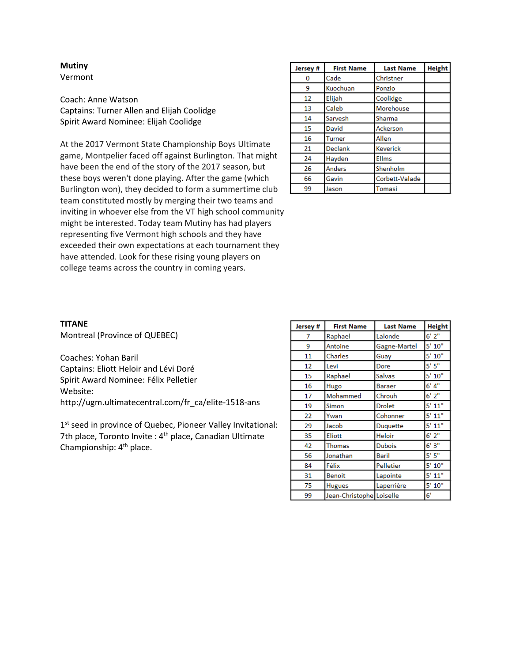#### **Mutiny**  Vermont

Coach: Anne Watson Captains: Turner Allen and Elijah Coolidge Spirit Award Nominee: Elijah Coolidge

At the 2017 Vermont State Championship Boys Ultimate game, Montpelier faced off against Burlington. That might have been the end of the story of the 2017 season, but these boys weren't done playing. After the game (which Burlington won), they decided to form a summertime club team constituted mostly by merging their two teams and inviting in whoever else from the VT high school community might be interested. Today team Mutiny has had players representing five Vermont high schools and they have exceeded their own expectations at each tournament they have attended. Look for these rising young players on college teams across the country in coming years.

| Jersey # | <b>First Name</b> | <b>Last Name</b> | <b>Height</b> |
|----------|-------------------|------------------|---------------|
| 0        | Cade              | Christner        |               |
| 9        | Kuochuan          | Ponzio           |               |
| 12       | Elijah            | Coolidge         |               |
| 13       | Caleb             | Morehouse        |               |
| 14       | Sarvesh           | Sharma           |               |
| 15       | David             | Ackerson         |               |
| 16       | <b>Turner</b>     | Allen            |               |
| 21       | <b>Declank</b>    | <b>Keverick</b>  |               |
| 24       | Hayden            | <b>Ellms</b>     |               |
| 26       | <b>Anders</b>     | Shenholm         |               |
| 66       | Gavin             | Corbett-Valade   |               |
| 99       | Jason             | Tomasi           |               |

#### **TITANE**

Montreal (Province of QUEBEC)

Coaches: Yohan Baril Captains: Eliott Heloir and Lévi Doré Spirit Award Nominee: Félix Pelletier Website: http://ugm.ultimatecentral.com/fr\_ca/elite-1518-ans

1<sup>st</sup> seed in province of Quebec, Pioneer Valley Invitational: 7th place, Toronto Invite : 4th place**,** Canadian Ultimate Championship: 4th place.

| Jersey # | <b>First Name</b>        | <b>Last Name</b> | <b>Height</b> |
|----------|--------------------------|------------------|---------------|
| 7        | Raphael                  | Lalonde          | $6'$ $2''$    |
| 9        | Antoine                  | Gagne-Martel     | 5' 10''       |
| 11       | Charles                  | Guay             | 5' 10''       |
| 12       | Levi                     | Dore             | 5'5''         |
| 15       | Raphael                  | Salvas           | 5' 10''       |
| 16       | Hugo                     | <b>Baraer</b>    | 6' 4''        |
| 17       | Mohammed                 | Chrouh           | $6'$ $2''$    |
| 19       | Simon                    | <b>Drolet</b>    | 5' 11"        |
| 22       | Ywan                     | Cohonner         | 5' 11"        |
| 29       | Jacob                    | Duquette         | 5' 11"        |
| 35       | Eliott                   | <b>Heloir</b>    | 6'2''         |
| 42       | Thomas                   | <b>Dubois</b>    | 6'3''         |
| 56       | Jonathan                 | <b>Baril</b>     | 5'5''         |
| 84       | Félix                    | Pelletier        | 5' 10''       |
| 31       | <b>Benoit</b>            | Lapointe         | 5' 11"        |
| 75       | <b>Hugues</b>            | Laperrière       | 5' 10''       |
| 99       | Jean-Christophe Loiselle |                  | 6'            |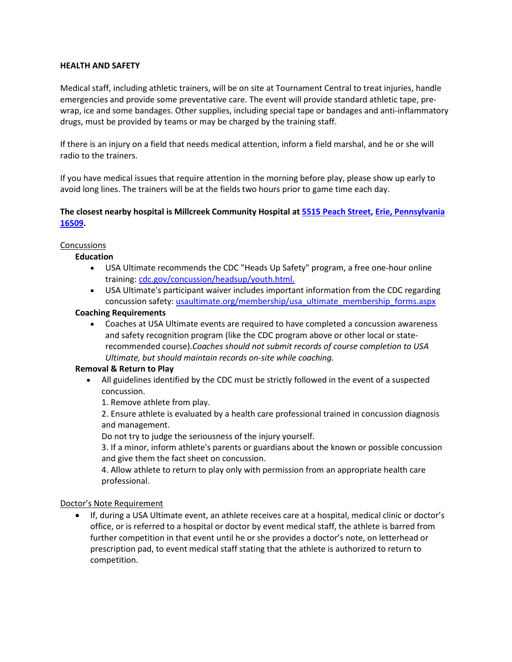## **HEALTH AND SAFETY**

Medical staff, including athletic trainers, will be on site at Tournament Central to treat injuries, handle emergencies and provide some preventative care. The event will provide standard athletic tape, prewrap, ice and some bandages. Other supplies, including special tape or bandages and anti-inflammatory drugs, must be provided by teams or may be charged by the training staff.

If there is an injury on a field that needs medical attention, inform a field marshal, and he or she will radio to the trainers.

If you have medical issues that require attention in the morning before play, please show up early to avoid long lines. The trainers will be at the fields two hours prior to game time each day.

## **The closest nearby hospital is Millcreek Community Hospital at [5515 Peach Street, Erie, Pennsylvania](https://maps.google.com/?q=5515+Peach+Street%0D+Erie,+Pennsylvania+16509&entry=gmail&source=g)  [16509.](https://maps.google.com/?q=5515+Peach+Street%0D+Erie,+Pennsylvania+16509&entry=gmail&source=g)**

#### Concussions

## **Education**

- USA Ultimate recommends the CDC "Heads Up Safety" program, a free one-hour online training: [cdc.gov/concussion/headsup/youth.html.](http://www.cdc.gov/concussion/headsup/youth.html.)
- USA Ultimate's participant waiver includes important information from the CDC regarding concussion safety: [usaultimate.org/membership/usa\\_ultimate\\_membership\\_forms.aspx](http://www.usaultimate.org/membership/usa_ultimate_membership_forms.aspx.)

## **Coaching Requirements**

• Coaches at USA Ultimate events are required to have completed a concussion awareness and safety recognition program (like the CDC program above or other local or staterecommended course).*Coaches should not submit records of course completion to USA Ultimate, but should maintain records on-site while coaching.*

## **Removal & Return to Play**

- All guidelines identified by the CDC must be strictly followed in the event of a suspected concussion.
	- 1. Remove athlete from play.

2. Ensure athlete is evaluated by a health care professional trained in concussion diagnosis and management.

Do not try to judge the seriousness of the injury yourself.

3. If a minor, inform athlete's parents or guardians about the known or possible concussion and give them the fact sheet on concussion.

4. Allow athlete to return to play only with permission from an appropriate health care professional.

## Doctor's Note Requirement

• If, during a USA Ultimate event, an athlete receives care at a hospital, medical clinic or doctor's office, or is referred to a hospital or doctor by event medical staff, the athlete is barred from further competition in that event until he or she provides a doctor's note, on letterhead or prescription pad, to event medical staff stating that the athlete is authorized to return to competition.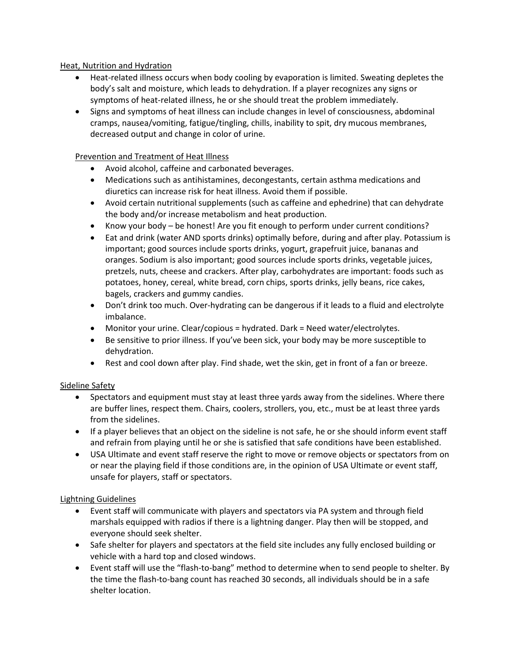## Heat, Nutrition and Hydration

- Heat-related illness occurs when body cooling by evaporation is limited. Sweating depletes the body's salt and moisture, which leads to dehydration. If a player recognizes any signs or symptoms of heat-related illness, he or she should treat the problem immediately.
- Signs and symptoms of heat illness can include changes in level of consciousness, abdominal cramps, nausea/vomiting, fatigue/tingling, chills, inability to spit, dry mucous membranes, decreased output and change in color of urine.

## Prevention and Treatment of Heat Illness

- Avoid alcohol, caffeine and carbonated beverages.
- Medications such as antihistamines, decongestants, certain asthma medications and diuretics can increase risk for heat illness. Avoid them if possible.
- Avoid certain nutritional supplements (such as caffeine and ephedrine) that can dehydrate the body and/or increase metabolism and heat production.
- Know your body be honest! Are you fit enough to perform under current conditions?
- Eat and drink (water AND sports drinks) optimally before, during and after play. Potassium is important; good sources include sports drinks, yogurt, grapefruit juice, bananas and oranges. Sodium is also important; good sources include sports drinks, vegetable juices, pretzels, nuts, cheese and crackers. After play, carbohydrates are important: foods such as potatoes, honey, cereal, white bread, corn chips, sports drinks, jelly beans, rice cakes, bagels, crackers and gummy candies.
- Don't drink too much. Over-hydrating can be dangerous if it leads to a fluid and electrolyte imbalance.
- Monitor your urine. Clear/copious = hydrated. Dark = Need water/electrolytes.
- Be sensitive to prior illness. If you've been sick, your body may be more susceptible to dehydration.
- Rest and cool down after play. Find shade, wet the skin, get in front of a fan or breeze.

## Sideline Safety

- Spectators and equipment must stay at least three yards away from the sidelines. Where there are buffer lines, respect them. Chairs, coolers, strollers, you, etc., must be at least three yards from the sidelines.
- If a player believes that an object on the sideline is not safe, he or she should inform event staff and refrain from playing until he or she is satisfied that safe conditions have been established.
- USA Ultimate and event staff reserve the right to move or remove objects or spectators from on or near the playing field if those conditions are, in the opinion of USA Ultimate or event staff, unsafe for players, staff or spectators.

## Lightning Guidelines

- Event staff will communicate with players and spectators via PA system and through field marshals equipped with radios if there is a lightning danger. Play then will be stopped, and everyone should seek shelter.
- Safe shelter for players and spectators at the field site includes any fully enclosed building or vehicle with a hard top and closed windows.
- Event staff will use the "flash-to-bang" method to determine when to send people to shelter. By the time the flash-to-bang count has reached 30 seconds, all individuals should be in a safe shelter location.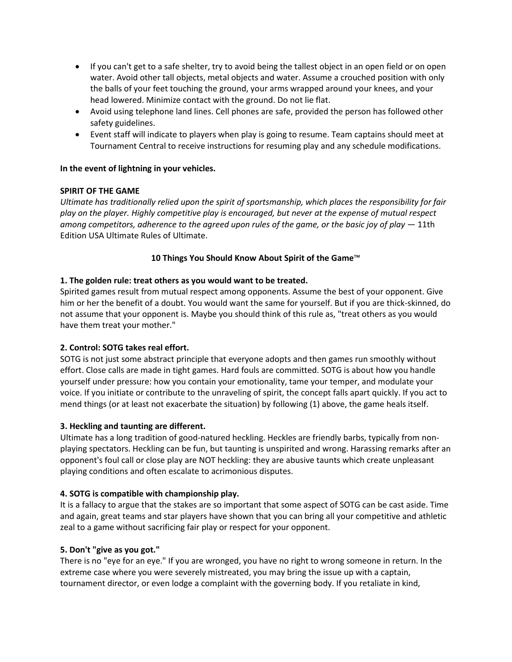- If you can't get to a safe shelter, try to avoid being the tallest object in an open field or on open water. Avoid other tall objects, metal objects and water. Assume a crouched position with only the balls of your feet touching the ground, your arms wrapped around your knees, and your head lowered. Minimize contact with the ground. Do not lie flat.
- Avoid using telephone land lines. Cell phones are safe, provided the person has followed other safety guidelines.
- Event staff will indicate to players when play is going to resume. Team captains should meet at Tournament Central to receive instructions for resuming play and any schedule modifications.

## **In the event of lightning in your vehicles.**

## **SPIRIT OF THE GAME**

*Ultimate has traditionally relied upon the spirit of sportsmanship, which places the responsibility for fair play on the player. Highly competitive play is encouraged, but never at the expense of mutual respect among competitors, adherence to the agreed upon rules of the game, or the basic joy of play* — 11th Edition USA Ultimate Rules of Ultimate.

## **10 Things You Should Know About Spirit of the Game**™

## **1. The golden rule: treat others as you would want to be treated.**

Spirited games result from mutual respect among opponents. Assume the best of your opponent. Give him or her the benefit of a doubt. You would want the same for yourself. But if you are thick-skinned, do not assume that your opponent is. Maybe you should think of this rule as, "treat others as you would have them treat your mother."

## **2. Control: SOTG takes real effort.**

SOTG is not just some abstract principle that everyone adopts and then games run smoothly without effort. Close calls are made in tight games. Hard fouls are committed. SOTG is about how you handle yourself under pressure: how you contain your emotionality, tame your temper, and modulate your voice. If you initiate or contribute to the unraveling of spirit, the concept falls apart quickly. If you act to mend things (or at least not exacerbate the situation) by following (1) above, the game heals itself.

## **3. Heckling and taunting are different.**

Ultimate has a long tradition of good-natured heckling. Heckles are friendly barbs, typically from nonplaying spectators. Heckling can be fun, but taunting is unspirited and wrong. Harassing remarks after an opponent's foul call or close play are NOT heckling: they are abusive taunts which create unpleasant playing conditions and often escalate to acrimonious disputes.

## **4. SOTG is compatible with championship play.**

It is a fallacy to argue that the stakes are so important that some aspect of SOTG can be cast aside. Time and again, great teams and star players have shown that you can bring all your competitive and athletic zeal to a game without sacrificing fair play or respect for your opponent.

## **5. Don't "give as you got."**

There is no "eye for an eye." If you are wronged, you have no right to wrong someone in return. In the extreme case where you were severely mistreated, you may bring the issue up with a captain, tournament director, or even lodge a complaint with the governing body. If you retaliate in kind,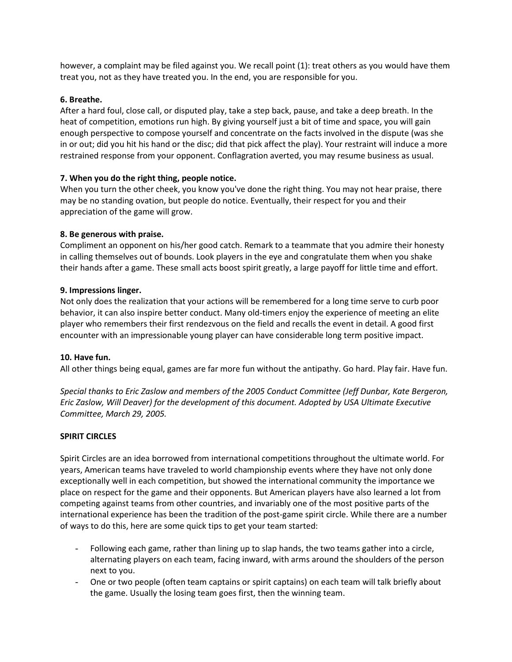however, a complaint may be filed against you. We recall point (1): treat others as you would have them treat you, not as they have treated you. In the end, you are responsible for you.

#### **6. Breathe.**

After a hard foul, close call, or disputed play, take a step back, pause, and take a deep breath. In the heat of competition, emotions run high. By giving yourself just a bit of time and space, you will gain enough perspective to compose yourself and concentrate on the facts involved in the dispute (was she in or out; did you hit his hand or the disc; did that pick affect the play). Your restraint will induce a more restrained response from your opponent. Conflagration averted, you may resume business as usual.

## **7. When you do the right thing, people notice.**

When you turn the other cheek, you know you've done the right thing. You may not hear praise, there may be no standing ovation, but people do notice. Eventually, their respect for you and their appreciation of the game will grow.

#### **8. Be generous with praise.**

Compliment an opponent on his/her good catch. Remark to a teammate that you admire their honesty in calling themselves out of bounds. Look players in the eye and congratulate them when you shake their hands after a game. These small acts boost spirit greatly, a large payoff for little time and effort.

#### **9. Impressions linger.**

Not only does the realization that your actions will be remembered for a long time serve to curb poor behavior, it can also inspire better conduct. Many old-timers enjoy the experience of meeting an elite player who remembers their first rendezvous on the field and recalls the event in detail. A good first encounter with an impressionable young player can have considerable long term positive impact.

#### **10. Have fun.**

All other things being equal, games are far more fun without the antipathy. Go hard. Play fair. Have fun.

*Special thanks to Eric Zaslow and members of the 2005 Conduct Committee (Jeff Dunbar, Kate Bergeron, Eric Zaslow, Will Deaver) for the development of this document. Adopted by USA Ultimate Executive Committee, March 29, 2005.*

#### **SPIRIT CIRCLES**

Spirit Circles are an idea borrowed from international competitions throughout the ultimate world. For years, American teams have traveled to world championship events where they have not only done exceptionally well in each competition, but showed the international community the importance we place on respect for the game and their opponents. But American players have also learned a lot from competing against teams from other countries, and invariably one of the most positive parts of the international experience has been the tradition of the post-game spirit circle. While there are a number of ways to do this, here are some quick tips to get your team started:

- Following each game, rather than lining up to slap hands, the two teams gather into a circle, alternating players on each team, facing inward, with arms around the shoulders of the person next to you.
- One or two people (often team captains or spirit captains) on each team will talk briefly about the game. Usually the losing team goes first, then the winning team.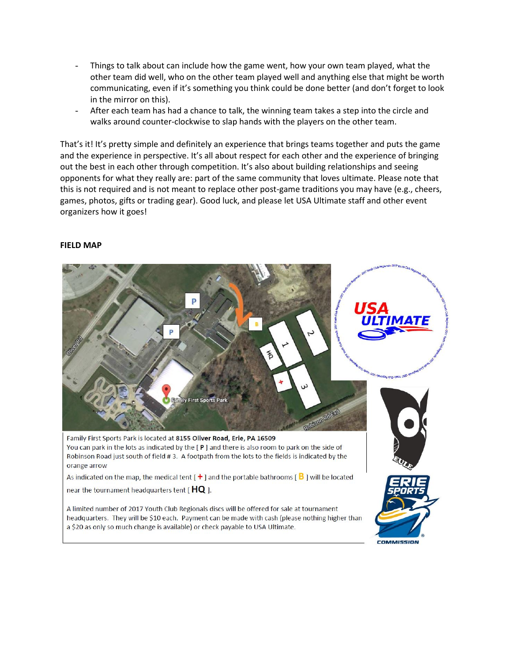- Things to talk about can include how the game went, how your own team played, what the other team did well, who on the other team played well and anything else that might be worth communicating, even if it's something you think could be done better (and don't forget to look in the mirror on this).
- After each team has had a chance to talk, the winning team takes a step into the circle and walks around counter-clockwise to slap hands with the players on the other team.

That's it! It's pretty simple and definitely an experience that brings teams together and puts the game and the experience in perspective. It's all about respect for each other and the experience of bringing out the best in each other through competition. It's also about building relationships and seeing opponents for what they really are: part of the same community that loves ultimate. Please note that this is not required and is not meant to replace other post-game traditions you may have (e.g., cheers, games, photos, gifts or trading gear). Good luck, and please let USA Ultimate staff and other event organizers how it goes!

#### **FIELD MAP**